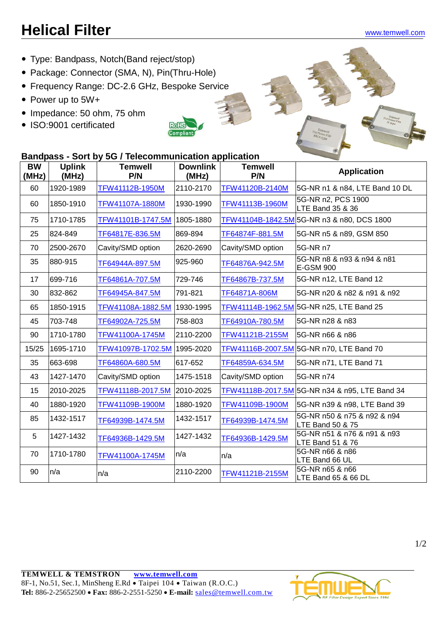## **Helical Filter** [www.temwell.com](http://www.temwell.com/)

- Type: Bandpass, Notch(Band reject/stop)
- Package: Connector (SMA, N), Pin(Thru-Hole)
- Frequency Range: DC-2.6 GHz, Bespoke Service
- Power up to 5W+
- Impedance: 50 ohm, 75 ohm
- ISO:9001 certificated



## **Bandpass - Sort by 5G / Telecommunication application**

| <b>BW</b><br>(MHz) | <b>Uplink</b><br>(MHz) | <b>Temwell</b><br>P/N  | <b>Downlink</b><br>(MHz) | <b>Temwell</b><br>P/N | <b>Application</b>                                         |  |
|--------------------|------------------------|------------------------|--------------------------|-----------------------|------------------------------------------------------------|--|
| 60                 | 1920-1989              | TFW41112B-1950M        | 2110-2170                | TFW41120B-2140M       | 5G-NR n1 & n84, LTE Band 10 DL                             |  |
| 60                 | 1850-1910              | <b>TFW41107A-1880M</b> | 1930-1990                | TFW41113B-1960M       | 5G-NR n2, PCS 1900<br>LTE Band 35 & 36                     |  |
| 75                 | 1710-1785              | TFW41101B-1747.5M      | 1805-1880                |                       | TFW41104B-1842.5M 5G-NR n3 & n80, DCS 1800                 |  |
| 25                 | 824-849                | TF64817E-836.5M        | 869-894                  | TF64874F-881.5M       | 5G-NR n5 & n89, GSM 850                                    |  |
| 70                 | 2500-2670              | Cavity/SMD option      | 2620-2690                | Cavity/SMD option     | 5G-NR n7                                                   |  |
| 35                 | 880-915                | TF64944A-897.5M        | 925-960                  | TF64876A-942.5M       | 5G-NR n8 & n93 & n94 & n81<br><b>E-GSM 900</b>             |  |
| 17                 | 699-716                | TF64861A-707.5M        | 729-746                  | TF64867B-737.5M       | 5G-NR n12, LTE Band 12                                     |  |
| 30                 | 832-862                | TF64945A-847.5M        | 791-821                  | TF64871A-806M         | 5G-NR n20 & n82 & n91 & n92                                |  |
| 65                 | 1850-1915              | TFW41108A-1882.5M      | 1930-1995                |                       | TFW41114B-1962.5M 5G-NR n25, LTE Band 25                   |  |
| 45                 | 703-748                | TF64902A-725.5M        | 758-803                  | TF64910A-780.5M       | 5G-NR n28 & n83                                            |  |
| 90                 | 1710-1780              | TFW41100A-1745M        | 2110-2200                | TFW41121B-2155M       | l5G-NR n66 & n86                                           |  |
| 15/25              | 1695-1710              | TFW41097B-1702.5M      | 1995-2020                |                       | TFW41116B-2007.5M 5G-NR n70, LTE Band 70                   |  |
| 35                 | 663-698                | TF64860A-680.5M        | 617-652                  | TF64859A-634.5M       | 5G-NR n71, LTE Band 71                                     |  |
| 43                 | 1427-1470              | Cavity/SMD option      | 1475-1518                | Cavity/SMD option     | 5G-NR n74                                                  |  |
| 15                 | 2010-2025              | TFW41118B-2017.5M      | 2010-2025                |                       | TFW41118B-2017.5M 5G-NR n34 & n95, LTE Band 34             |  |
| 40                 | 1880-1920              | TFW41109B-1900M        | 1880-1920                | TFW41109B-1900M       | 5G-NR n39 & n98, LTE Band 39                               |  |
| 85                 | 1432-1517              | TF64939B-1474.5M       | 1432-1517                | TF64939B-1474.5M      | 5G-NR n50 & n75 & n92 & n94<br><b>LTE Band 50 &amp; 75</b> |  |
| 5                  | 1427-1432              | TF64936B-1429.5M       | 1427-1432                | TF64936B-1429.5M      | 5G-NR n51 & n76 & n91 & n93<br>LTE Band 51 & 76            |  |
| 70                 | 1710-1780              | TFW41100A-1745M        | n/a                      | n/a                   | 5G-NR n66 & n86<br>LTE Band 66 UL                          |  |
| 90                 | n/a                    | n/a                    | 2110-2200                | TFW41121B-2155M       | 5G-NR n65 & n66<br>LTE Band 65 & 66 DL                     |  |